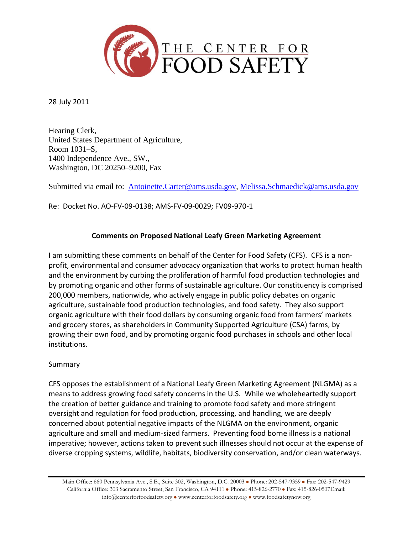

28 July 2011

Hearing Clerk, United States Department of Agriculture, Room 1031–S, 1400 Independence Ave., SW., Washington, DC 20250–9200, Fax

Submitted via email to: [Antoinette.Carter@ams.usda.gov,](mailto:Antoinette.Carter@ams.usda.gov) [Melissa.Schmaedick@ams.usda.gov](mailto:Melissa.Schmaedick@ams.usda.gov)

Re: Docket No. AO-FV-09-0138; AMS-FV-09-0029; FV09-970-1

# **Comments on Proposed National Leafy Green Marketing Agreement**

I am submitting these comments on behalf of the Center for Food Safety (CFS). CFS is a nonprofit, environmental and consumer advocacy organization that works to protect human health and the environment by curbing the proliferation of harmful food production technologies and by promoting organic and other forms of sustainable agriculture. Our constituency is comprised 200,000 members, nationwide, who actively engage in public policy debates on organic agriculture, sustainable food production technologies, and food safety. They also support organic agriculture with their food dollars by consuming organic food from farmers' markets and grocery stores, as shareholders in Community Supported Agriculture (CSA) farms, by growing their own food, and by promoting organic food purchases in schools and other local institutions.

#### Summary

CFS opposes the establishment of a National Leafy Green Marketing Agreement (NLGMA) as a means to address growing food safety concerns in the U.S. While we wholeheartedly support the creation of better guidance and training to promote food safety and more stringent oversight and regulation for food production, processing, and handling, we are deeply concerned about potential negative impacts of the NLGMA on the environment, organic agriculture and small and medium-sized farmers. Preventing food borne illness is a national imperative; however, actions taken to prevent such illnesses should not occur at the expense of diverse cropping systems, wildlife, habitats, biodiversity conservation, and/or clean waterways.

Main Office: 660 Pennsylvania Ave., S.E., Suite 302, Washington, D.C. 20003 . Phone: 202-547-9359 . Fax: 202-547-9429 California Office: 303 Sacramento Street, San Francisco, CA 94111 · Phone: 415-826-2770 · Fax: 415-826-0507Email: info@centerforfoodsafety.org  $\bullet$  www.centerforfoodsafety.org  $\bullet$  www.foodsafetynow.org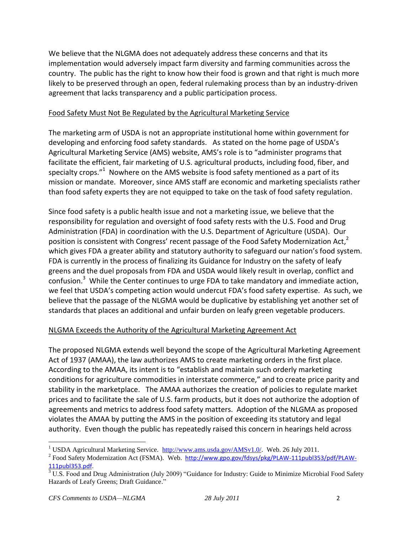We believe that the NLGMA does not adequately address these concerns and that its implementation would adversely impact farm diversity and farming communities across the country. The public has the right to know how their food is grown and that right is much more likely to be preserved through an open, federal rulemaking process than by an industry-driven agreement that lacks transparency and a public participation process.

# Food Safety Must Not Be Regulated by the Agricultural Marketing Service

The marketing arm of USDA is not an appropriate institutional home within government for developing and enforcing food safety standards. As stated on the home page of USDA's Agricultural Marketing Service (AMS) website, AMS's role is to "administer programs that facilitate the efficient, fair marketing of U.S. agricultural products, including food, fiber, and specialty crops."<sup>1</sup> Nowhere on the AMS website is food safety mentioned as a part of its mission or mandate. Moreover, since AMS staff are economic and marketing specialists rather than food safety experts they are not equipped to take on the task of food safety regulation.

Since food safety is a public health issue and not a marketing issue, we believe that the responsibility for regulation and oversight of food safety rests with the U.S. Food and Drug Administration (FDA) in coordination with the U.S. Department of Agriculture (USDA). Our position is consistent with Congress' recent passage of the Food Safety Modernization Act,<sup>2</sup> which gives FDA a greater ability and statutory authority to safeguard our nation's food system. FDA is currently in the process of finalizing its Guidance for Industry on the safety of leafy greens and the duel proposals from FDA and USDA would likely result in overlap, conflict and confusion.<sup>3</sup> While the Center continues to urge FDA to take mandatory and immediate action, we feel that USDA's competing action would undercut FDA's food safety expertise. As such, we believe that the passage of the NLGMA would be duplicative by establishing yet another set of standards that places an additional and unfair burden on leafy green vegetable producers.

# NLGMA Exceeds the Authority of the Agricultural Marketing Agreement Act

The proposed NLGMA extends well beyond the scope of the Agricultural Marketing Agreement Act of 1937 (AMAA), the law authorizes AMS to create marketing orders in the first place. According to the AMAA, its intent is to "establish and maintain such orderly marketing conditions for agriculture commodities in interstate commerce," and to create price parity and stability in the marketplace. The AMAA authorizes the creation of policies to regulate market prices and to facilitate the sale of U.S. farm products, but it does not authorize the adoption of agreements and metrics to address food safety matters. Adoption of the NLGMA as proposed violates the AMAA by putting the AMS in the position of exceeding its statutory and legal authority. Even though the public has repeatedly raised this concern in hearings held across

<sup>&</sup>lt;sup>1</sup> USDA Agricultural Marketing Service. [http://www.ams.usda.gov/AMSv1.0/.](http://www.ams.usda.gov/AMSv1.0/) Web. 26 July 2011.

<sup>&</sup>lt;sup>2</sup> Food Safety Modernization Act (FSMA). Web. [http://www.gpo.gov/fdsys/pkg/PLAW-111publ353/pdf/PLAW-](http://www.gpo.gov/fdsys/pkg/PLAW-111publ353/pdf/PLAW-111publ353.pdf)[111publ353.pdf.](http://www.gpo.gov/fdsys/pkg/PLAW-111publ353/pdf/PLAW-111publ353.pdf)

 $3$  U.S. Food and Drug Administration (July 2009) "Guidance for Industry: Guide to Minimize Microbial Food Safety Hazards of Leafy Greens; Draft Guidance."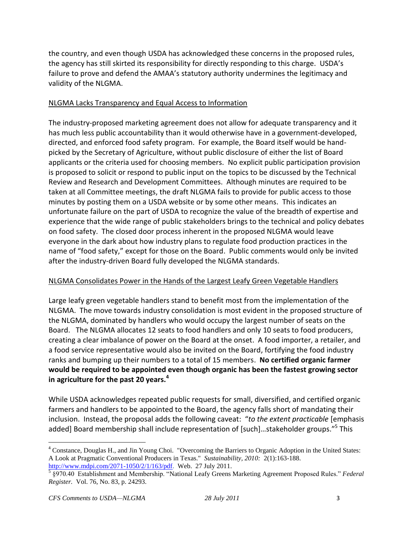the country, and even though USDA has acknowledged these concerns in the proposed rules, the agency has still skirted its responsibility for directly responding to this charge. USDA's failure to prove and defend the AMAA's statutory authority undermines the legitimacy and validity of the NLGMA.

### NLGMA Lacks Transparency and Equal Access to Information

The industry-proposed marketing agreement does not allow for adequate transparency and it has much less public accountability than it would otherwise have in a government-developed, directed, and enforced food safety program. For example, the Board itself would be handpicked by the Secretary of Agriculture, without public disclosure of either the list of Board applicants or the criteria used for choosing members. No explicit public participation provision is proposed to solicit or respond to public input on the topics to be discussed by the Technical Review and Research and Development Committees. Although minutes are required to be taken at all Committee meetings, the draft NLGMA fails to provide for public access to those minutes by posting them on a USDA website or by some other means. This indicates an unfortunate failure on the part of USDA to recognize the value of the breadth of expertise and experience that the wide range of public stakeholders brings to the technical and policy debates on food safety. The closed door process inherent in the proposed NLGMA would leave everyone in the dark about how industry plans to regulate food production practices in the name of "food safety," except for those on the Board. Public comments would only be invited after the industry-driven Board fully developed the NLGMA standards.

#### NLGMA Consolidates Power in the Hands of the Largest Leafy Green Vegetable Handlers

Large leafy green vegetable handlers stand to benefit most from the implementation of the NLGMA. The move towards industry consolidation is most evident in the proposed structure of the NLGMA, dominated by handlers who would occupy the largest number of seats on the Board. The NLGMA allocates 12 seats to food handlers and only 10 seats to food producers, creating a clear imbalance of power on the Board at the onset. A food importer, a retailer, and a food service representative would also be invited on the Board, fortifying the food industry ranks and bumping up their numbers to a total of 15 members. **No certified organic farmer would be required to be appointed even though organic has been the fastest growing sector in agriculture for the past 20 years.<sup>4</sup>**

While USDA acknowledges repeated public requests for small, diversified, and certified organic farmers and handlers to be appointed to the Board, the agency falls short of mandating their inclusion. Instead, the proposal adds the following caveat: "*to the extent practicable* [emphasis added] Board membership shall include representation of [such]...stakeholder groups."<sup>5</sup> This

<sup>&</sup>lt;sup>4</sup> Constance, Douglas H., and Jin Young Choi. "Overcoming the Barriers to Organic Adoption in the United States: A Look at Pragmatic Conventional Producers in Texas." *Sustainability, 2010:* 2(1):163-188.

[http://www.mdpi.com/2071-1050/2/1/163/pdf.](http://www.mdpi.com/2071-1050/2/1/163/pdf) Web. 27 July 2011. 5 §970.40 Establishment and Membership. "National Leafy Greens Marketing Agreement Proposed Rules." *Federal Register.* Vol. 76, No. 83, p. 24293.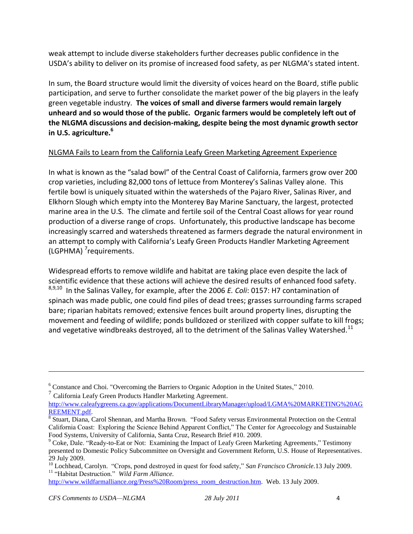weak attempt to include diverse stakeholders further decreases public confidence in the USDA's ability to deliver on its promise of increased food safety, as per NLGMA's stated intent.

In sum, the Board structure would limit the diversity of voices heard on the Board, stifle public participation, and serve to further consolidate the market power of the big players in the leafy green vegetable industry. **The voices of small and diverse farmers would remain largely unheard and so would those of the public. Organic farmers would be completely left out of the NLGMA discussions and decision-making, despite being the most dynamic growth sector in U.S. agriculture.<sup>6</sup>**

# NLGMA Fails to Learn from the California Leafy Green Marketing Agreement Experience

In what is known as the "salad bowl" of the Central Coast of California, farmers grow over 200 crop varieties, including 82,000 tons of lettuce from Monterey's Salinas Valley alone. This fertile bowl is uniquely situated within the watersheds of the Pajaro River, Salinas River, and Elkhorn Slough which empty into the Monterey Bay Marine Sanctuary, the largest, protected marine area in the U.S. The climate and fertile soil of the Central Coast allows for year round production of a diverse range of crops. Unfortunately, this productive landscape has become increasingly scarred and watersheds threatened as farmers degrade the natural environment in an attempt to comply with California's Leafy Green Products Handler Marketing Agreement (LGPHMA)<sup>7</sup>requirements.

Widespread efforts to remove wildlife and habitat are taking place even despite the lack of scientific evidence that these actions will achieve the desired results of enhanced food safety. 8,9,10 In the Salinas Valley, for example, after the 2006 *E. Coli*: 0157: H7 contamination of spinach was made public, one could find piles of dead trees; grasses surrounding farms scraped bare; riparian habitats removed; extensive fences built around property lines, disrupting the movement and feeding of wildlife; ponds bulldozed or sterilized with copper sulfate to kill frogs; and vegetative windbreaks destroyed, all to the detriment of the Salinas Valley Watershed.<sup>11</sup>

7 California Leafy Green Products Handler Marketing Agreement.

<sup>6</sup> Constance and Choi. "Overcoming the Barriers to Organic Adoption in the United States," 2010.

[http://www.caleafygreens.ca.gov/applications/DocumentLibraryManager/upload/LGMA%20MARKETING%20AG](http://www.caleafygreens.ca.gov/applications/DocumentLibraryManager/upload/LGMA%20MARKETING%20AGREEMENT.pdf) [REEMENT.pdf.](http://www.caleafygreens.ca.gov/applications/DocumentLibraryManager/upload/LGMA%20MARKETING%20AGREEMENT.pdf)

<sup>&</sup>lt;sup>8</sup> Stuart, Diana, Carol Shennan, and Martha Brown. "Food Safety versus Environmental Protection on the Central California Coast: Exploring the Science Behind Apparent Conflict," The Center for Agroecology and Sustainable Food Systems, University of California, Santa Cruz, Research Brief #10. 2009.

 $9^9$  Coke, Dale. "Ready-to-Eat or Not: Examining the Impact of Leafy Green Marketing Agreements," Testimony presented to Domestic Policy Subcommittee on Oversight and Government Reform, U.S. House of Representatives. 29 July 2009.

<sup>10</sup> Lochhead, Carolyn. "Crops, pond destroyed in quest for food safety," *San Francisco Chronicle.*13 July 2009. <sup>11</sup> "Habitat Destruction." *Wild Farm Alliance.*

[http://www.wildfarmalliance.org/Press%20Room/press\\_room\\_destruction.htm.](http://www.wildfarmalliance.org/Press%20Room/press_room_destruction.htm) Web. 13 July 2009.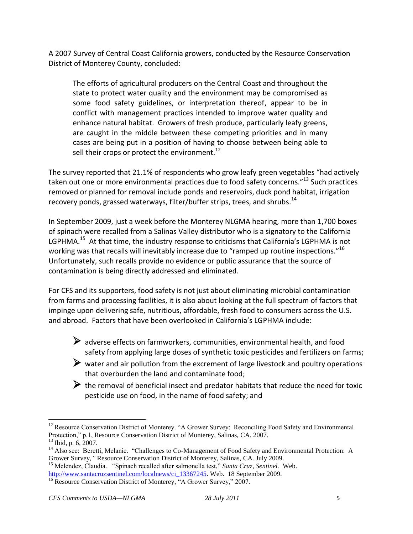A 2007 Survey of Central Coast California growers, conducted by the Resource Conservation District of Monterey County, concluded:

The efforts of agricultural producers on the Central Coast and throughout the state to protect water quality and the environment may be compromised as some food safety guidelines, or interpretation thereof, appear to be in conflict with management practices intended to improve water quality and enhance natural habitat. Growers of fresh produce, particularly leafy greens, are caught in the middle between these competing priorities and in many cases are being put in a position of having to choose between being able to sell their crops or protect the environment.<sup>12</sup>

The survey reported that 21.1% of respondents who grow leafy green vegetables "had actively taken out one or more environmental practices due to food safety concerns."<sup>13</sup> Such practices removed or planned for removal include ponds and reservoirs, duck pond habitat, irrigation recovery ponds, grassed waterways, filter/buffer strips, trees, and shrubs.<sup>14</sup>

In September 2009, just a week before the Monterey NLGMA hearing, more than 1,700 boxes of spinach were recalled from a Salinas Valley distributor who is a signatory to the California LGPHMA.<sup>15</sup> At that time, the industry response to criticisms that California's LGPHMA is not working was that recalls will inevitably increase due to "ramped up routine inspections." $^{16}$ Unfortunately, such recalls provide no evidence or public assurance that the source of contamination is being directly addressed and eliminated.

For CFS and its supporters, food safety is not just about eliminating microbial contamination from farms and processing facilities, it is also about looking at the full spectrum of factors that impinge upon delivering safe, nutritious, affordable, fresh food to consumers across the U.S. and abroad. Factors that have been overlooked in California's LGPHMA include:

- $\triangleright$  adverse effects on farmworkers, communities, environmental health, and food safety from applying large doses of synthetic toxic pesticides and fertilizers on farms;
- $\triangleright$  water and air pollution from the excrement of large livestock and poultry operations that overburden the land and contaminate food;
- $\triangleright$  the removal of beneficial insect and predator habitats that reduce the need for toxic pesticide use on food, in the name of food safety; and

<sup>&</sup>lt;sup>12</sup> Resource Conservation District of Monterey. "A Grower Survey: Reconciling Food Safety and Environmental Protection," p.1, Resource Conservation District of Monterey, Salinas, CA. 2007.

 $13$  Ibid, p. 6, 2007.

<sup>&</sup>lt;sup>14</sup> Also see: Beretti, Melanie. "Challenges to Co-Management of Food Safety and Environmental Protection: A Grower Survey,*"* Resource Conservation District of Monterey, Salinas, CA. July 2009.

<sup>15</sup> Melendez, Claudia. "Spinach recalled after salmonella test," *Santa Cruz, Sentinel.* Web. [http://www.santacruzsentinel.com/localnews/ci\\_13367245.](http://www.santacruzsentinel.com/localnews/ci_13367245) Web. 18 September 2009.

 $\frac{16}{16}$  Resource Conservation District of Monterey, "A Grower Survey," 2007.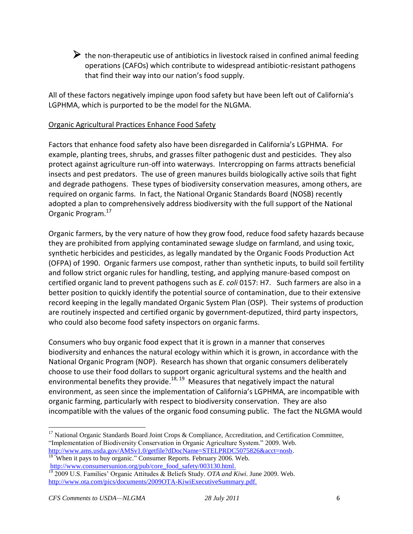$\triangleright$  the non-therapeutic use of antibiotics in livestock raised in confined animal feeding operations (CAFOs) which contribute to widespread antibiotic-resistant pathogens that find their way into our nation's food supply.

All of these factors negatively impinge upon food safety but have been left out of California's LGPHMA, which is purported to be the model for the NLGMA.

#### Organic Agricultural Practices Enhance Food Safety

Factors that enhance food safety also have been disregarded in California's LGPHMA. For example, planting trees, shrubs, and grasses filter pathogenic dust and pesticides. They also protect against agriculture run-off into waterways. Intercropping on farms attracts beneficial insects and pest predators. The use of green manures builds biologically active soils that fight and degrade pathogens. These types of biodiversity conservation measures, among others, are required on organic farms. In fact, the National Organic Standards Board (NOSB) recently adopted a plan to comprehensively address biodiversity with the full support of the National Organic Program.<sup>17</sup>

Organic farmers, by the very nature of how they grow food, reduce food safety hazards because they are prohibited from applying contaminated sewage sludge on farmland, and using toxic, synthetic herbicides and pesticides, as legally mandated by the Organic Foods Production Act (OFPA) of 1990. Organic farmers use compost, rather than synthetic inputs, to build soil fertility and follow strict organic rules for handling, testing, and applying manure-based compost on certified organic land to prevent pathogens such as *E. coli* 0157: H7. Such farmers are also in a better position to quickly identify the potential source of contamination, due to their extensive record keeping in the legally mandated Organic System Plan (OSP). Their systems of production are routinely inspected and certified organic by government-deputized, third party inspectors, who could also become food safety inspectors on organic farms.

Consumers who buy organic food expect that it is grown in a manner that conserves biodiversity and enhances the natural ecology within which it is grown, in accordance with the National Organic Program (NOP). Research has shown that organic consumers deliberately choose to use their food dollars to support organic agricultural systems and the health and environmental benefits they provide.<sup>18, 19</sup> Measures that negatively impact the natural environment, as seen since the implementation of California's LGPHMA, are incompatible with organic farming, particularly with respect to biodiversity conservation. They are also incompatible with the values of the organic food consuming public. The fact the NLGMA would

<sup>&</sup>lt;sup>17</sup> National Organic Standards Board Joint Crops & Compliance, Accreditation, and Certification Committee, "Implementation of Biodiversity Conservation in Organic Agriculture System." 2009. Web. [http://www.ams.usda.gov/AMSv1.0/getfile?dDocName=STELPRDC5075826&acct=nosb.](http://www.ams.usda.gov/AMSv1.0/getfile?dDocName=STELPRDC5075826&acct=nosb)

<sup>&</sup>lt;sup>18 "</sup>When it pays to buy organic." Consumer Reports. February 2006. Web. [http://www.consumersunion.org/pub/core\\_food\\_safety/003130.html.](http://www.consumersunion.org/pub/core_food_safety/003130.html)

<sup>19</sup> 2009 U.S. Families' Organic Attitudes & Beliefs Study. *OTA and Kiwi*. June 2009. Web. [http://www.ota.com/pics/documents/2009OTA-KiwiExecutiveSummary.pdf.](http://www.ota.com/pics/documents/2009OTA-KiwiExecutiveSummary.pdf)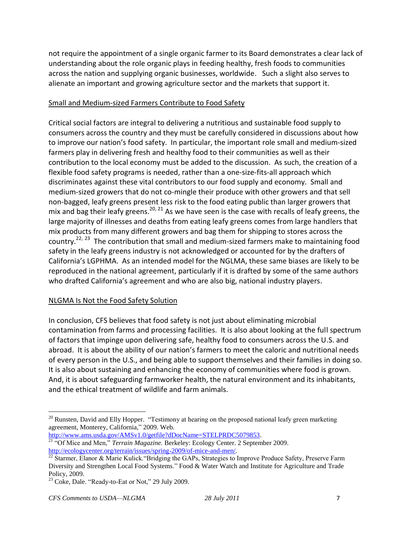not require the appointment of a single organic farmer to its Board demonstrates a clear lack of understanding about the role organic plays in feeding healthy, fresh foods to communities across the nation and supplying organic businesses, worldwide. Such a slight also serves to alienate an important and growing agriculture sector and the markets that support it.

### Small and Medium-sized Farmers Contribute to Food Safety

Critical social factors are integral to delivering a nutritious and sustainable food supply to consumers across the country and they must be carefully considered in discussions about how to improve our nation's food safety. In particular, the important role small and medium-sized farmers play in delivering fresh and healthy food to their communities as well as their contribution to the local economy must be added to the discussion. As such, the creation of a flexible food safety programs is needed, rather than a one-size-fits-all approach which discriminates against these vital contributors to our food supply and economy. Small and medium-sized growers that do not co-mingle their produce with other growers and that sell non-bagged, leafy greens present less risk to the food eating public than larger growers that mix and bag their leafy greens.<sup>20, 21</sup> As we have seen is the case with recalls of leafy greens, the large majority of illnesses and deaths from eating leafy greens comes from large handlers that mix products from many different growers and bag them for shipping to stores across the country.<sup>22, 23</sup> The contribution that small and medium-sized farmers make to maintaining food safety in the leafy greens industry is not acknowledged or accounted for by the drafters of California's LGPHMA. As an intended model for the NGLMA, these same biases are likely to be reproduced in the national agreement, particularly if it is drafted by some of the same authors who drafted California's agreement and who are also big, national industry players.

# NLGMA Is Not the Food Safety Solution

In conclusion, CFS believes that food safety is not just about eliminating microbial contamination from farms and processing facilities. It is also about looking at the full spectrum of factors that impinge upon delivering safe, healthy food to consumers across the U.S. and abroad. It is about the ability of our nation's farmers to meet the caloric and nutritional needs of every person in the U.S., and being able to support themselves and their families in doing so. It is also about sustaining and enhancing the economy of communities where food is grown. And, it is about safeguarding farmworker health, the natural environment and its inhabitants, and the ethical treatment of wildlife and farm animals.

<sup>&</sup>lt;sup>20</sup> Runsten, David and Elly Hopper. "Testimony at hearing on the proposed national leafy green marketing agreement, Monterey, California," 2009. Web.

[http://www.ams.usda.gov/AMSv1.0/getfile?dDocName=STELPRDC5079853.](http://www.ams.usda.gov/AMSv1.0/getfile?dDocName=STELPRDC5079853) <sup>21</sup> "Of Mice and Men," *Terrain Magazine*. Berkeley: Ecology Center. 2 September 2009. [http://ecologycenter.org/terrain/issues/spring-2009/of-mice-and-men/.](http://ecologycenter.org/terrain/issues/spring-2009/of-mice-and-men/) 

<sup>&</sup>lt;sup>22</sup> Starmer, Elanor & Marie Kulick. "Bridging the GAPs, Strategies to Improve Produce Safety, Preserve Farm Diversity and Strengthen Local Food Systems." Food & Water Watch and Institute for Agriculture and Trade Policy, 2009.

 $^{23}$  Coke, Dale. "Ready-to-Eat or Not," 29 July 2009.